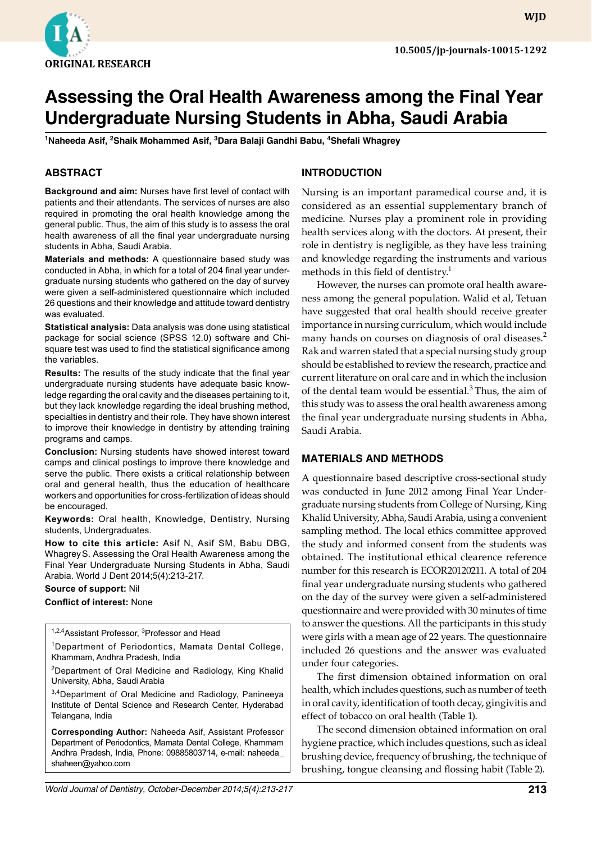

# **Assessing the Oral Health Awareness among the Final Year Undergraduate Nursing Students in Abha, Saudi Arabia**

**1 Naheeda Asif, <sup>2</sup> Shaik Mohammed Asif, 3 Dara Balaji Gandhi Babu, 4 Shefali Whagrey**

### **ABSTRACT**

**Background and aim:** Nurses have first level of contact with patients and their attendants. The services of nurses are also required in promoting the oral health knowledge among the general public. Thus, the aim of this study is to assess the oral health awareness of all the final year undergraduate nursing students in Abha, Saudi Arabia.

**Materials and methods:** A questionnaire based study was conducted in Abha, in which for a total of 204 final year undergraduate nursing students who gathered on the day of survey were given a self-administered questionnaire which included 26 questions and their knowledge and attitude toward dentistry was evaluated.

**Statistical analysis:** Data analysis was done using statistical package for social science (SPSS 12.0) software and Chisquare test was used to find the statistical significance among the variables.

**Results:** The results of the study indicate that the final year undergraduate nursing students have adequate basic knowledge regarding the oral cavity and the diseases pertaining to it, but they lack knowledge regarding the ideal brushing method, specialties in dentistry and their role. They have shown interest to improve their knowledge in dentistry by attending training programs and camps.

**Conclusion:** Nursing students have showed interest toward camps and clinical postings to improve there knowledge and serve the public. There exists a critical relationship between oral and general health, thus the education of healthcare workers and opportunities for cross-fertilization of ideas should be encouraged.

**Keywords:** Oral health, Knowledge, Dentistry, Nursing students, Undergraduates.

**How to cite this article:** Asif N, Asif SM, Babu DBG, WhagreyS. Assessing the Oral Health Awareness among the Final Year Undergraduate Nursing Students in Abha, Saudi Arabia. World J Dent 2014;5(4):213-217.

**Source of support:** Nil

#### **Conflict of interest:** None

<sup>1,2,4</sup>Assistant Professor, <sup>3</sup>Professor and Head

<sup>1</sup>Department of Periodontics, Mamata Dental College, Khammam, Andhra Pradesh, India

<sup>2</sup>Department of Oral Medicine and Radiology, King Khalid University, Abha, Saudi Arabia

3,4Department of Oral Medicine and Radiology, Panineeya Institute of Dental Science and Research Center, Hyderabad Telangana, India

**Corresponding Author:** Naheeda Asif, Assistant Professor Department of Periodontics, Mamata Dental College, Khammam Andhra Pradesh, India, Phone: 09885803714, e-mail: naheeda\_ shaheen@yahoo.com

# **Introduction**

Nursing is an important paramedical course and, it is considered as an essential supplementary branch of medicine. Nurses play a prominent role in providing health services along with the doctors. At present, their role in dentistry is negligible, as they have less training and knowledge regarding the instruments and various methods in this field of dentistry. $<sup>1</sup>$ </sup>

However, the nurses can promote oral health awareness among the general population. Walid et al, Tetuan have suggested that oral health should receive greater importance in nursing curriculum, which would include many hands on courses on diagnosis of oral diseases.<sup>2</sup> Rak and warren stated that a special nursing study group should be established to review the research, practice and current literature on oral care and in which the inclusion of the dental team would be essential. $3$  Thus, the aim of this study was to assess the oral health awareness among the final year undergraduate nursing students in Abha, Saudi Arabia.

#### **Materials and Methods**

A questionnaire based descriptive cross-sectional study was conducted in June 2012 among Final Year Undergraduate nursing students from College of Nursing, King Khalid University, Abha, Saudi Arabia, using a convenient sampling method. The local ethics committee approved the study and informed consent from the students was obtained. The institutional ethical clearence reference number for this research is ECOR20120211. A total of 204 final year undergraduate nursing students who gathered on the day of the survey were given a self-administered questionnaire and were provided with 30 minutes of time to answer the questions. All the participants in this study were girls with a mean age of 22 years. The questionnaire included 26 questions and the answer was evaluated under four categories.

The first dimension obtained information on oral health, which includes questions, such as number of teeth in oral cavity, identification of tooth decay, gingivitis and effect of tobacco on oral health (Table 1).

The second dimension obtained information on oral hygiene practice, which includes questions, such as ideal brushing device, frequency of brushing, the technique of brushing, tongue cleansing and flossing habit (Table 2).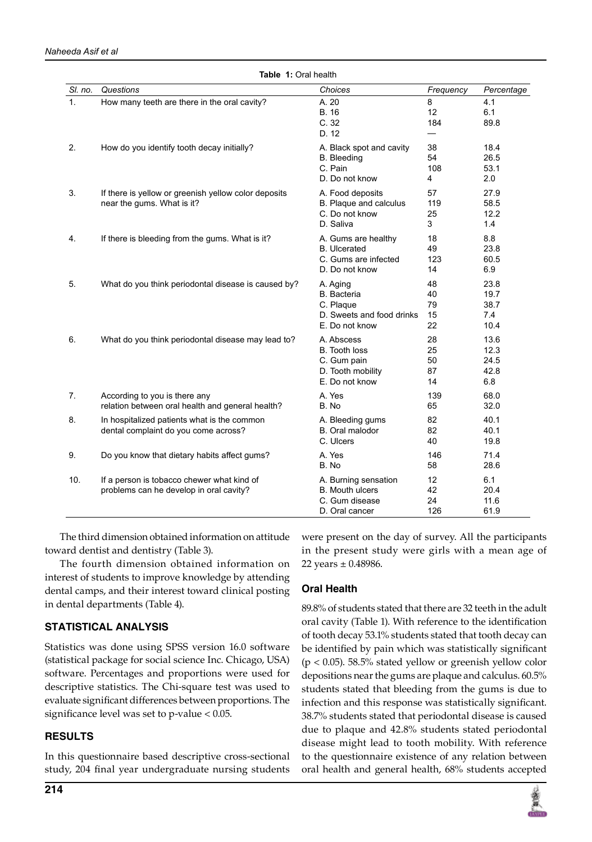| Naheeda Asif et al |
|--------------------|
|--------------------|

| SI. no.        | Questions                                                                             | Choices                                                                                    | Frequency                  | Percentage                          |
|----------------|---------------------------------------------------------------------------------------|--------------------------------------------------------------------------------------------|----------------------------|-------------------------------------|
| 1.             | How many teeth are there in the oral cavity?                                          | A. 20<br><b>B.</b> 16<br>C.32<br>D. 12                                                     | 8<br>12<br>184             | 4.1<br>6.1<br>89.8                  |
| 2.             | How do you identify tooth decay initially?                                            | A. Black spot and cavity<br><b>B.</b> Bleeding<br>C. Pain<br>D. Do not know                | 38<br>54<br>108<br>4       | 18.4<br>26.5<br>53.1<br>2.0         |
| 3.             | If there is yellow or greenish yellow color deposits<br>near the gums. What is it?    | A. Food deposits<br>B. Plaque and calculus<br>C. Do not know<br>D. Saliva                  | 57<br>119<br>25<br>3       | 27.9<br>58.5<br>12.2<br>1.4         |
| 4.             | If there is bleeding from the gums. What is it?                                       | A. Gums are healthy<br><b>B.</b> Ulcerated<br>C. Gums are infected<br>D. Do not know       | 18<br>49<br>123<br>14      | 8.8<br>23.8<br>60.5<br>6.9          |
| 5.             | What do you think periodontal disease is caused by?                                   | A. Aging<br><b>B.</b> Bacteria<br>C. Plaque<br>D. Sweets and food drinks<br>E. Do not know | 48<br>40<br>79<br>15<br>22 | 23.8<br>19.7<br>38.7<br>7.4<br>10.4 |
| 6.             | What do you think periodontal disease may lead to?                                    | A. Abscess<br><b>B.</b> Tooth loss<br>C. Gum pain<br>D. Tooth mobility<br>E. Do not know   | 28<br>25<br>50<br>87<br>14 | 13.6<br>12.3<br>24.5<br>42.8<br>6.8 |
| 7 <sub>1</sub> | According to you is there any<br>relation between oral health and general health?     | A. Yes<br>B. No                                                                            | 139<br>65                  | 68.0<br>32.0                        |
| 8.             | In hospitalized patients what is the common<br>dental complaint do you come across?   | A. Bleeding gums<br>B. Oral malodor<br>C. Ulcers                                           | 82<br>82<br>40             | 40.1<br>40.1<br>19.8                |
| 9.             | Do you know that dietary habits affect gums?                                          | A. Yes<br>B. No                                                                            | 146<br>58                  | 71.4<br>28.6                        |
| 10.            | If a person is tobacco chewer what kind of<br>problems can he develop in oral cavity? | A. Burning sensation<br><b>B.</b> Mouth ulcers<br>C. Gum disease<br>D. Oral cancer         | 12<br>42<br>24<br>126      | 6.1<br>20.4<br>11.6<br>61.9         |

**Table 1:** Oral health

The third dimension obtained information on attitude toward dentist and dentistry (Table 3).

The fourth dimension obtained information on interest of students to improve knowledge by attending dental camps, and their interest toward clinical posting in dental departments (Table 4).

# **Statistical Analysis**

Statistics was done using SPSS version 16.0 software (statistical package for social science Inc. Chicago, USA) software. Percentages and proportions were used for descriptive statistics. The Chi-square test was used to evaluate significant differences between proportions. The significance level was set to p-value < 0.05.

#### **Results**

In this questionnaire based descriptive cross-sectional study, 204 final year undergraduate nursing students were present on the day of survey. All the participants in the present study were girls with a mean age of 22 years  $\pm$  0.48986.

# **Oral Health**

89.8% of students stated that there are 32 teeth in the adult oral cavity (Table 1). With reference to the identification of tooth decay 53.1% students stated that tooth decay can be identified by pain which was statistically significant (p < 0.05). 58.5% stated yellow or greenish yellow color depositions near the gums are plaque and calculus. 60.5% students stated that bleeding from the gums is due to infection and this response was statistically significant. 38.7% students stated that periodontal disease is caused due to plaque and 42.8% students stated periodontal disease might lead to tooth mobility. With reference to the questionnaire existence of any relation between oral health and general health, 68% students accepted

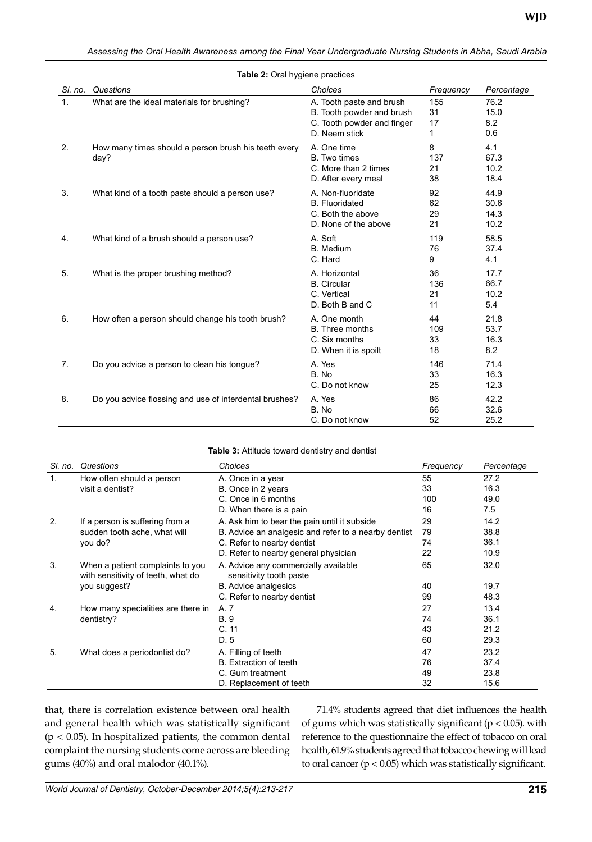| Assessing the Oral Health Awareness among the Final Year Undergraduate Nursing Students in Abha, Saudi Arabia |  |  |  |
|---------------------------------------------------------------------------------------------------------------|--|--|--|
|                                                                                                               |  |  |  |
|                                                                                                               |  |  |  |
|                                                                                                               |  |  |  |

| <b>Table 2:</b> Oral hygiene practices |                                                              |                                                                                                      |                       |                              |  |
|----------------------------------------|--------------------------------------------------------------|------------------------------------------------------------------------------------------------------|-----------------------|------------------------------|--|
| SI, no.                                | Questions                                                    | Choices                                                                                              | Frequency             | Percentage                   |  |
| 1.                                     | What are the ideal materials for brushing?                   | A. Tooth paste and brush<br>B. Tooth powder and brush<br>C. Tooth powder and finger<br>D. Neem stick | 155<br>31<br>17<br>1  | 76.2<br>15.0<br>8.2<br>0.6   |  |
| 2.                                     | How many times should a person brush his teeth every<br>day? | A. One time<br><b>B.</b> Two times<br>C. More than 2 times<br>D. After every meal                    | 8<br>137<br>21<br>38  | 4.1<br>67.3<br>10.2<br>18.4  |  |
| 3.                                     | What kind of a tooth paste should a person use?              | A. Non-fluoridate<br><b>B.</b> Fluoridated<br>C. Both the above<br>D. None of the above              | 92<br>62<br>29<br>21  | 44.9<br>30.6<br>14.3<br>10.2 |  |
| 4.                                     | What kind of a brush should a person use?                    | A. Soft<br><b>B.</b> Medium<br>C. Hard                                                               | 119<br>76<br>9        | 58.5<br>37.4<br>4.1          |  |
| 5.                                     | What is the proper brushing method?                          | A. Horizontal<br><b>B.</b> Circular<br>C. Vertical<br>D. Both B and C                                | 36<br>136<br>21<br>11 | 17.7<br>66.7<br>10.2<br>5.4  |  |
| 6.                                     | How often a person should change his tooth brush?            | A. One month<br>B. Three months<br>C. Six months<br>D. When it is spoilt                             | 44<br>109<br>33<br>18 | 21.8<br>53.7<br>16.3<br>8.2  |  |
| 7.                                     | Do you advice a person to clean his tongue?                  | A. Yes<br>B. No<br>C. Do not know                                                                    | 146<br>33<br>25       | 71.4<br>16.3<br>12.3         |  |
| 8.                                     | Do you advice flossing and use of interdental brushes?       | A. Yes<br>B. No<br>C. Do not know                                                                    | 86<br>66<br>52        | 42.2<br>32.6<br>25.2         |  |

|  |  | Table 2: Oral hygiene practices |
|--|--|---------------------------------|
|  |  |                                 |

| <b>Table 3: Attitude toward dentistry and dentist</b> |  |
|-------------------------------------------------------|--|
|-------------------------------------------------------|--|

| SI. no. | Questions                                                              | Choices                                                         | Frequency | Percentage |
|---------|------------------------------------------------------------------------|-----------------------------------------------------------------|-----------|------------|
| 1.      | How often should a person                                              | A. Once in a year                                               | 55        | 27.2       |
|         | visit a dentist?                                                       | B. Once in 2 years                                              | 33        | 16.3       |
|         |                                                                        | C. Once in 6 months                                             | 100       | 49.0       |
|         |                                                                        | D. When there is a pain                                         | 16        | 7.5        |
| 2.      | If a person is suffering from a                                        | A. Ask him to bear the pain until it subside                    | 29        | 14.2       |
|         | sudden tooth ache, what will                                           | B. Advice an analgesic and refer to a nearby dentist            | 79        | 38.8       |
|         | you do?                                                                | C. Refer to nearby dentist                                      | 74        | 36.1       |
|         |                                                                        | D. Refer to nearby general physician                            | 22        | 10.9       |
| 3.      | When a patient complaints to you<br>with sensitivity of teeth, what do | A. Advice any commercially available<br>sensitivity tooth paste | 65        | 32.0       |
|         | you suggest?                                                           | <b>B.</b> Advice analgesics                                     | 40        | 19.7       |
|         |                                                                        | C. Refer to nearby dentist                                      | 99        | 48.3       |
| 4.      | How many specialities are there in                                     | A. 7                                                            | 27        | 13.4       |
|         | dentistry?                                                             | <b>B.9</b>                                                      | 74        | 36.1       |
|         |                                                                        | C.11                                                            | 43        | 21.2       |
|         |                                                                        | D.5                                                             | 60        | 29.3       |
| 5.      | What does a periodontist do?                                           | A. Filling of teeth                                             | 47        | 23.2       |
|         |                                                                        | B. Extraction of teeth                                          | 76        | 37.4       |
|         |                                                                        | C. Gum treatment                                                | 49        | 23.8       |
|         |                                                                        | D. Replacement of teeth                                         | 32        | 15.6       |

that, there is correlation existence between oral health and general health which was statistically significant  $(p < 0.05)$ . In hospitalized patients, the common dental complaint the nursing students come across are bleeding gums (40%) and oral malodor (40.1%).

71.4% students agreed that diet influences the health of gums which was statistically significant ( $p < 0.05$ ). with reference to the questionnaire the effect of tobacco on oral health, 61.9% students agreed that tobacco chewing will lead to oral cancer (p < 0.05) which was statistically significant.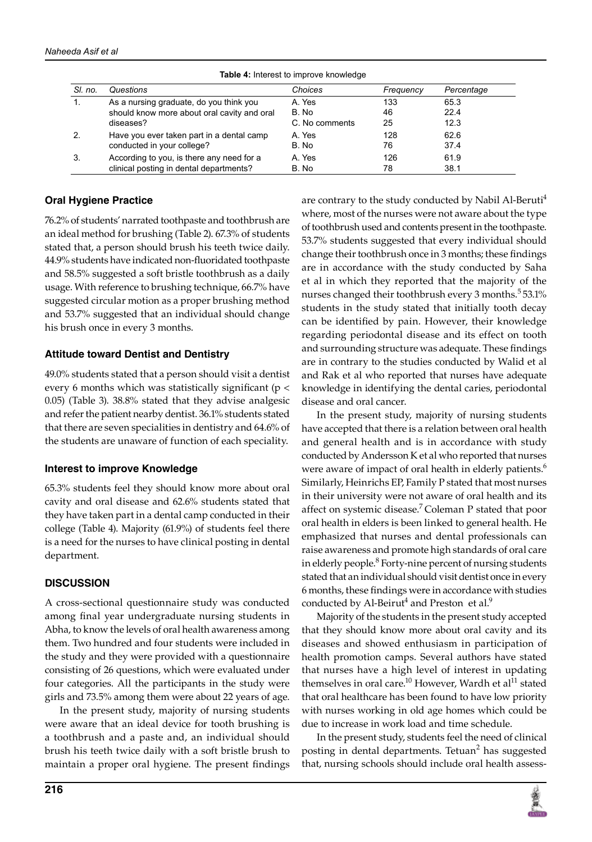| <b>Table 4:</b> Interest to improve knowledge |                                             |                |           |            |  |
|-----------------------------------------------|---------------------------------------------|----------------|-----------|------------|--|
| SI. no.                                       | Questions                                   | Choices        | Frequency | Percentage |  |
| 1.                                            | As a nursing graduate, do you think you     | A. Yes         | 133       | 65.3       |  |
|                                               | should know more about oral cavity and oral | B. No          | 46        | 22.4       |  |
|                                               | diseases?                                   | C. No comments | 25        | 12.3       |  |
| 2.                                            | Have you ever taken part in a dental camp   | A. Yes         | 128       | 62.6       |  |
|                                               | conducted in your college?                  | B. No          | 76        | 37.4       |  |
| 3.                                            | According to you, is there any need for a   | A. Yes         | 126       | 61.9       |  |
|                                               | clinical posting in dental departments?     | B. No          | 78        | 38.1       |  |

**Table 4:** Interest to improve knowledge

#### **Oral Hygiene Practice**

76.2% of students' narrated toothpaste and toothbrush are an ideal method for brushing (Table 2). 67.3% of students stated that, a person should brush his teeth twice daily. 44.9% students have indicated non-fluoridated toothpaste and 58.5% suggested a soft bristle toothbrush as a daily usage. With reference to brushing technique, 66.7% have suggested circular motion as a proper brushing method and 53.7% suggested that an individual should change his brush once in every 3 months.

#### **Attitude toward Dentist and Dentistry**

49.0% students stated that a person should visit a dentist every 6 months which was statistically significant (p < 0.05) (Table 3). 38.8% stated that they advise analgesic and refer the patient nearby dentist. 36.1% students stated that there are seven specialities in dentistry and 64.6% of the students are unaware of function of each speciality.

#### **Interest to improve Knowledge**

65.3% students feel they should know more about oral cavity and oral disease and 62.6% students stated that they have taken part in a dental camp conducted in their college (Table 4). Majority (61.9%) of students feel there is a need for the nurses to have clinical posting in dental department.

# **Discussion**

A cross-sectional questionnaire study was conducted among final year undergraduate nursing students in Abha, to know the levels of oral health awareness among them. Two hundred and four students were included in the study and they were provided with a questionnaire consisting of 26 questions, which were evaluated under four categories. All the participants in the study were girls and 73.5% among them were about 22 years of age.

In the present study, majority of nursing students were aware that an ideal device for tooth brushing is a toothbrush and a paste and, an individual should brush his teeth twice daily with a soft bristle brush to maintain a proper oral hygiene. The present findings

are contrary to the study conducted by Nabil Al-Beruti<sup>4</sup> where, most of the nurses were not aware about the type of toothbrush used and contents present in the toothpaste. 53.7% students suggested that every individual should change their toothbrush once in 3 months; these findings are in accordance with the study conducted by Saha et al in which they reported that the majority of the nurses changed their toothbrush every 3 months.<sup>5</sup> 53.1% students in the study stated that initially tooth decay can be identified by pain. However, their knowledge regarding periodontal disease and its effect on tooth and surrounding structure was adequate. These findings are in contrary to the studies conducted by Walid et al and Rak et al who reported that nurses have adequate knowledge in identifying the dental caries, periodontal disease and oral cancer.

In the present study, majority of nursing students have accepted that there is a relation between oral health and general health and is in accordance with study conducted by Andersson K et al who reported that nurses were aware of impact of oral health in elderly patients.<sup>6</sup> Similarly, Heinrichs EP, Family P stated that most nurses in their university were not aware of oral health and its affect on systemic disease.<sup>7</sup> Coleman P stated that poor oral health in elders is been linked to general health. He emphasized that nurses and dental professionals can raise awareness and promote high standards of oral care in elderly people.<sup>8</sup> Forty-nine percent of nursing students stated that an individual should visit dentist once in every 6 months, these findings were in accordance with studies conducted by Al-Beirut<sup>4</sup> and Preston et al.<sup>9</sup>

Majority of the students in the present study accepted that they should know more about oral cavity and its diseases and showed enthusiasm in participation of health promotion camps. Several authors have stated that nurses have a high level of interest in updating themselves in oral care.<sup>10</sup> However, Wardh et al<sup>11</sup> stated that oral healthcare has been found to have low priority with nurses working in old age homes which could be due to increase in work load and time schedule.

In the present study, students feel the need of clinical posting in dental departments. Tetuan<sup>2</sup> has suggested that, nursing schools should include oral health assess